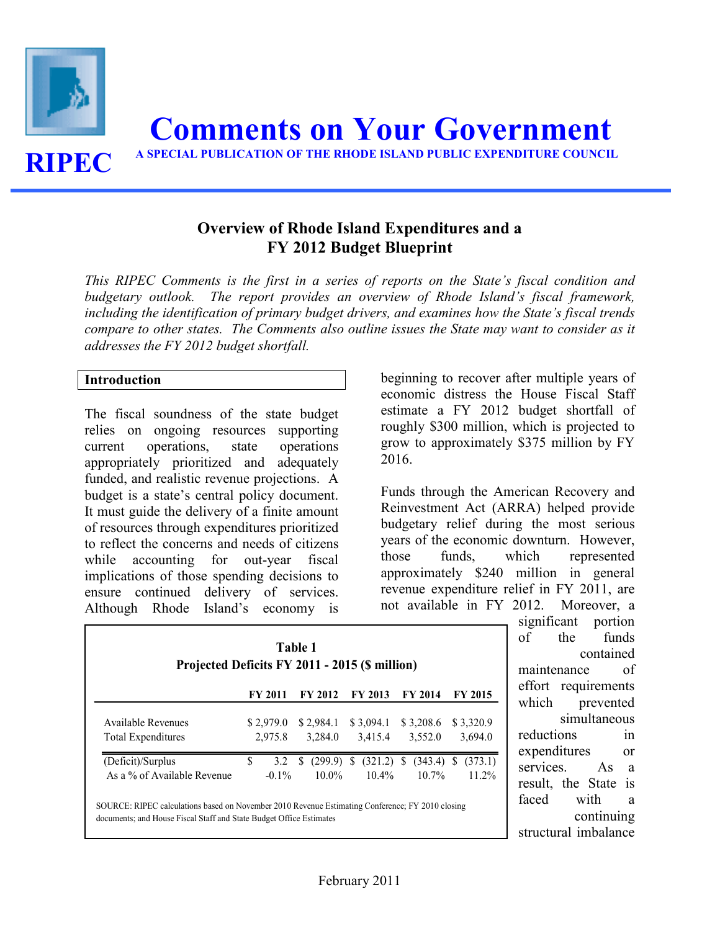

# Overview of Rhode Island Expenditures and a FY 2012 Budget Blueprint

This RIPEC Comments is the first in a series of reports on the State's fiscal condition and budgetary outlook. The report provides an overview of Rhode Island's fiscal framework, including the identification of primary budget drivers, and examines how the State's fiscal trends compare to other states. The Comments also outline issues the State may want to consider as it addresses the FY 2012 budget shortfall.

#### Introduction

The fiscal soundness of the state budget relies on ongoing resources supporting current operations, state operations appropriately prioritized and adequately funded, and realistic revenue projections. A budget is a state's central policy document. It must guide the delivery of a finite amount of resources through expenditures prioritized to reflect the concerns and needs of citizens while accounting for out-year fiscal implications of those spending decisions to ensure continued delivery of services. Although Rhode Island's economy is

beginning to recover after multiple years of economic distress the House Fiscal Staff estimate a FY 2012 budget shortfall of roughly \$300 million, which is projected to grow to approximately \$375 million by FY 2016.

Funds through the American Recovery and Reinvestment Act (ARRA) helped provide budgetary relief during the most serious years of the economic downturn. However, those funds, which represented approximately \$240 million in general revenue expenditure relief in FY 2011, are not available in FY 2012. Moreover, a

| Table 1<br>Projected Deficits FY 2011 - 2015 (\$ million)                                                                                                               |                      |                          |                               |                          |                      |  |  |  |
|-------------------------------------------------------------------------------------------------------------------------------------------------------------------------|----------------------|--------------------------|-------------------------------|--------------------------|----------------------|--|--|--|
|                                                                                                                                                                         | FY 2011              | <b>FY 2012</b>           | <b>FY 2013</b>                | <b>FY 2014</b>           | <b>FY 2015</b>       |  |  |  |
| Available Revenues<br>Total Expenditures                                                                                                                                | \$2,979.0<br>2,975.8 | \$2,984.1<br>3,284.0     | \$3,094.1<br>3,415.4          | \$3,208.6<br>3,552.0     | \$3,320.9<br>3,694.0 |  |  |  |
| (Deficit)/Surplus<br>As a % of Available Revenue                                                                                                                        | S<br>3.2<br>$-0.1\%$ | S<br>(299.9)<br>$10.0\%$ | $(321.2)$ \$<br>S<br>$10.4\%$ | $(343.4)$ \$<br>$10.7\%$ | (373.1)<br>$11.2\%$  |  |  |  |
| SOURCE: RIPEC calculations based on November 2010 Revenue Estimating Conference: FY 2010 closing<br>documents; and House Fiscal Staff and State Budget Office Estimates |                      |                          |                               |                          |                      |  |  |  |

significant portion of the funds contained maintenance of effort requirements which prevented simultaneous reductions in expenditures or services. As a result, the State is faced with a continuing structural imbalance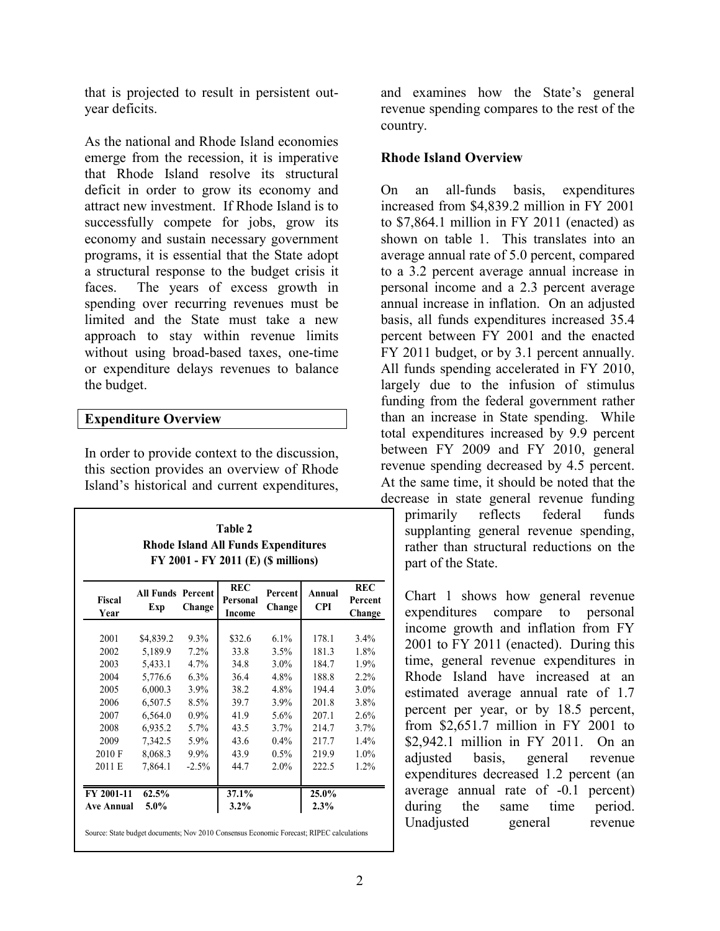that is projected to result in persistent outyear deficits.

As the national and Rhode Island economies emerge from the recession, it is imperative that Rhode Island resolve its structural deficit in order to grow its economy and attract new investment. If Rhode Island is to successfully compete for jobs, grow its economy and sustain necessary government programs, it is essential that the State adopt a structural response to the budget crisis it faces. The years of excess growth in spending over recurring revenues must be limited and the State must take a new approach to stay within revenue limits without using broad-based taxes, one-time or expenditure delays revenues to balance the budget.

#### Expenditure Overview

In order to provide context to the discussion, this section provides an overview of Rhode Island's historical and current expenditures,

| <b>Table 2</b>                             |
|--------------------------------------------|
| <b>Rhode Island All Funds Expenditures</b> |
| FY 2001 - FY 2011 (E) (\$ millions)        |

| <b>Fiscal</b><br>Year | <b>All Funds Percent</b><br>Exp | Change   | <b>REC</b><br>Personal<br><b>Income</b> | Percent<br>Change | Annual<br><b>CPI</b> | <b>REC</b><br>Percent<br>Change |
|-----------------------|---------------------------------|----------|-----------------------------------------|-------------------|----------------------|---------------------------------|
|                       |                                 |          |                                         |                   |                      |                                 |
| 2001                  | \$4,839.2                       | $9.3\%$  | \$32.6                                  | 6.1%              | 178.1                | $3.4\%$                         |
| 2002                  | 5,189.9                         | $7.2\%$  | 33.8                                    | 3.5%              | 181.3                | 1.8%                            |
| 2003                  | 5,433.1                         | 4.7%     | 34.8                                    | $3.0\%$           | 184.7                | 1.9%                            |
| 2004                  | 5,776.6                         | $6.3\%$  | 36.4                                    | 4.8%              | 188.8                | $2.2\%$                         |
| 2005                  | 6,000.3                         | $3.9\%$  | 38.2                                    | 4.8%              | 194.4                | $3.0\%$                         |
| 2006                  | 6,507.5                         | 8.5%     | 39.7                                    | $3.9\%$           | 201.8                | 3.8%                            |
| 2007                  | 6,564.0                         | $0.9\%$  | 41.9                                    | 5.6%              | 207.1                | 2.6%                            |
| 2008                  | 6,935.2                         | 5.7%     | 43.5                                    | $3.7\%$           | 214.7                | 3.7%                            |
| 2009                  | 7,342.5                         | 5.9%     | 43.6                                    | $0.4\%$           | 217.7                | $1.4\%$                         |
| 2010 F                | 8,068.3                         | $9.9\%$  | 43.9                                    | $0.5\%$           | 219.9                | $1.0\%$                         |
| 2011 E                | 7,864.1                         | $-2.5\%$ | 44.7                                    | $2.0\%$           | 222.5                | $1.2\%$                         |
| FY 2001-11            | 62.5%                           |          | 37.1%                                   |                   | 25.0%                |                                 |
| Ave Annual            | $5.0\%$                         |          | $3.2\%$                                 |                   | 2.3%                 |                                 |
|                       |                                 |          |                                         |                   |                      |                                 |

Source: State budget documents; Nov 2010 Consensus Economic Forecast; RIPEC calculations

and examines how the State's general revenue spending compares to the rest of the country.

#### Rhode Island Overview

On an all-funds basis, expenditures increased from \$4,839.2 million in FY 2001 to \$7,864.1 million in FY 2011 (enacted) as shown on table 1. This translates into an average annual rate of 5.0 percent, compared to a 3.2 percent average annual increase in personal income and a 2.3 percent average annual increase in inflation. On an adjusted basis, all funds expenditures increased 35.4 percent between FY 2001 and the enacted FY 2011 budget, or by 3.1 percent annually. All funds spending accelerated in FY 2010, largely due to the infusion of stimulus funding from the federal government rather than an increase in State spending. While total expenditures increased by 9.9 percent between FY 2009 and FY 2010, general revenue spending decreased by 4.5 percent. At the same time, it should be noted that the decrease in state general revenue funding primarily reflects federal funds supplanting general revenue spending,

rather than structural reductions on the part of the State.

Chart 1 shows how general revenue expenditures compare to personal income growth and inflation from FY 2001 to FY 2011 (enacted). During this time, general revenue expenditures in Rhode Island have increased at an estimated average annual rate of 1.7 percent per year, or by 18.5 percent, from \$2,651.7 million in FY 2001 to \$2,942.1 million in FY 2011. On an adjusted basis, general revenue expenditures decreased 1.2 percent (an average annual rate of -0.1 percent) during the same time period. Unadjusted general revenue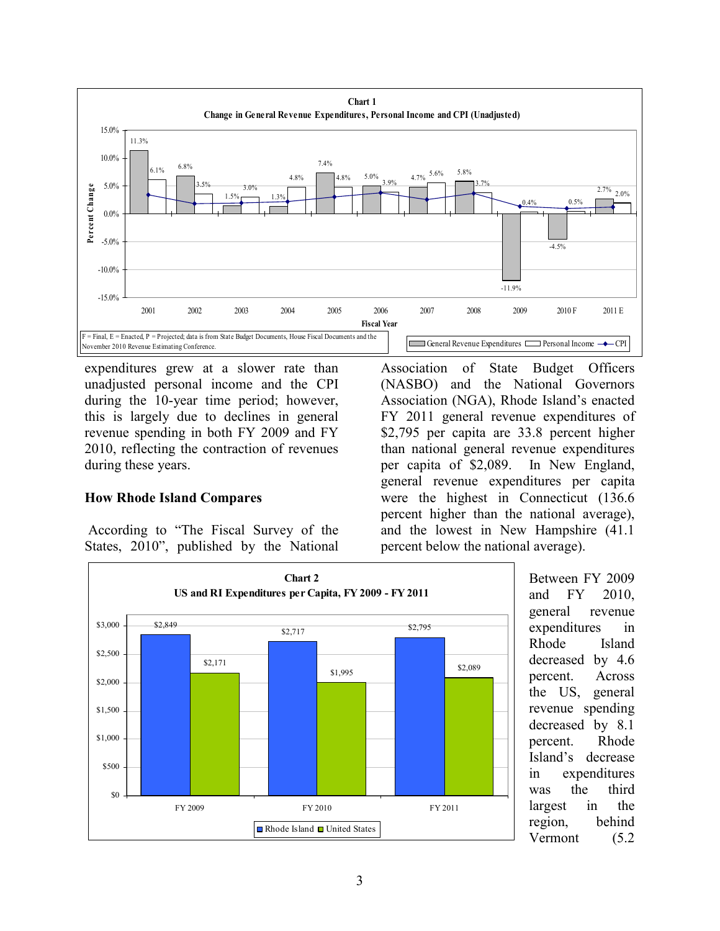

expenditures grew at a slower rate than unadjusted personal income and the CPI during the 10-year time period; however, this is largely due to declines in general revenue spending in both FY 2009 and FY 2010, reflecting the contraction of revenues during these years.

### How Rhode Island Compares

 According to "The Fiscal Survey of the States, 2010", published by the National

Association of State Budget Officers (NASBO) and the National Governors Association (NGA), Rhode Island's enacted FY 2011 general revenue expenditures of \$2,795 per capita are 33.8 percent higher than national general revenue expenditures per capita of \$2,089. In New England, general revenue expenditures per capita were the highest in Connecticut (136.6 percent higher than the national average), and the lowest in New Hampshire (41.1 percent below the national average).



Between FY 2009 and FY 2010, general revenue expenditures in Rhode Island decreased by 4.6 percent. Across the US, general revenue spending decreased by 8.1 percent. Rhode Island's decrease in expenditures was the third largest in the region, behind Vermont (5.2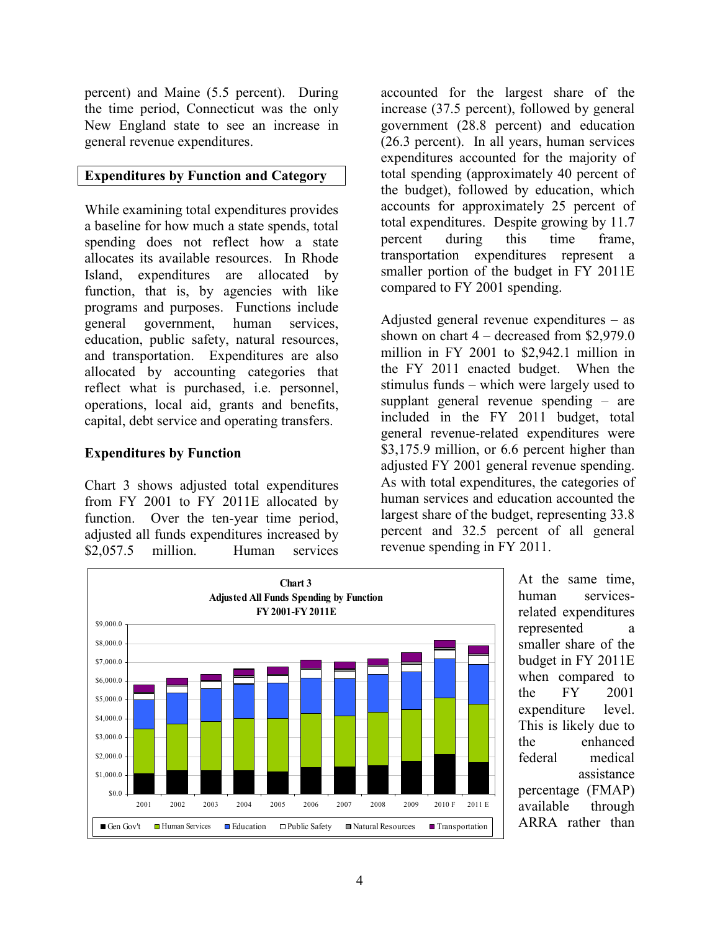percent) and Maine (5.5 percent). During the time period, Connecticut was the only New England state to see an increase in general revenue expenditures.

### Expenditures by Function and Category

While examining total expenditures provides a baseline for how much a state spends, total spending does not reflect how a state allocates its available resources. In Rhode Island, expenditures are allocated by function, that is, by agencies with like programs and purposes. Functions include general government, human services, education, public safety, natural resources, and transportation. Expenditures are also allocated by accounting categories that reflect what is purchased, i.e. personnel, operations, local aid, grants and benefits, capital, debt service and operating transfers.

# Expenditures by Function

Chart 3 shows adjusted total expenditures from FY 2001 to FY 2011E allocated by function. Over the ten-year time period, adjusted all funds expenditures increased by \$2,057.5 million. Human services

accounted for the largest share of the increase (37.5 percent), followed by general government (28.8 percent) and education (26.3 percent). In all years, human services expenditures accounted for the majority of total spending (approximately 40 percent of the budget), followed by education, which accounts for approximately 25 percent of total expenditures. Despite growing by 11.7 percent during this time frame, transportation expenditures represent a smaller portion of the budget in FY 2011E compared to FY 2001 spending.

Adjusted general revenue expenditures – as shown on chart 4 – decreased from \$2,979.0 million in FY 2001 to \$2,942.1 million in the FY 2011 enacted budget. When the stimulus funds – which were largely used to supplant general revenue spending – are included in the FY 2011 budget, total general revenue-related expenditures were \$3,175.9 million, or 6.6 percent higher than adjusted FY 2001 general revenue spending. As with total expenditures, the categories of human services and education accounted the largest share of the budget, representing 33.8 percent and 32.5 percent of all general revenue spending in FY 2011.



At the same time, human servicesrelated expenditures represented a smaller share of the budget in FY 2011E when compared to the FY 2001 expenditure level. This is likely due to the enhanced federal medical assistance percentage (FMAP) available through ARRA rather than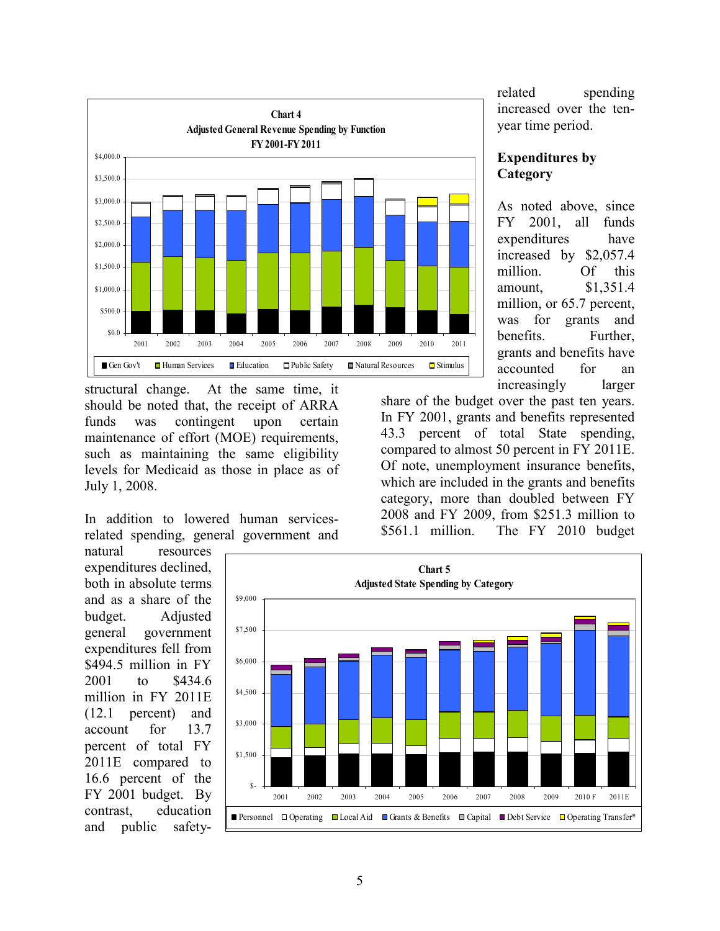

structural change. At the same time, it should be noted that, the receipt of ARRA funds was contingent upon certain maintenance of effort (MOE) requirements, such as maintaining the same eligibility levels for Medicaid as those in place as of July 1, 2008.

In addition to lowered human servicesrelated spending, general government and

natural resources expenditures declined, both in absolute terms and as a share of the budget. Adjusted general government expenditures fell from \$494.5 million in FY 2001 to \$434.6 million in FY 2011E (12.1 percent) and account for 13.7 percent of total FY 2011E compared to 16.6 percent of the FY 2001 budget. By contrast, education and public safetyrelated spending increased over the tenyear time period.

## Expenditures by **Category**

As noted above, since FY 2001, all funds expenditures have increased by \$2,057.4 million. Of this amount, \$1,351.4 million, or 65.7 percent, was for grants and benefits. Further, grants and benefits have accounted for an increasingly larger

share of the budget over the past ten years. In FY 2001, grants and benefits represented 43.3 percent of total State spending, compared to almost 50 percent in FY 2011E. Of note, unemployment insurance benefits, which are included in the grants and benefits category, more than doubled between FY 2008 and FY 2009, from \$251.3 million to \$561.1 million. The FY 2010 budget

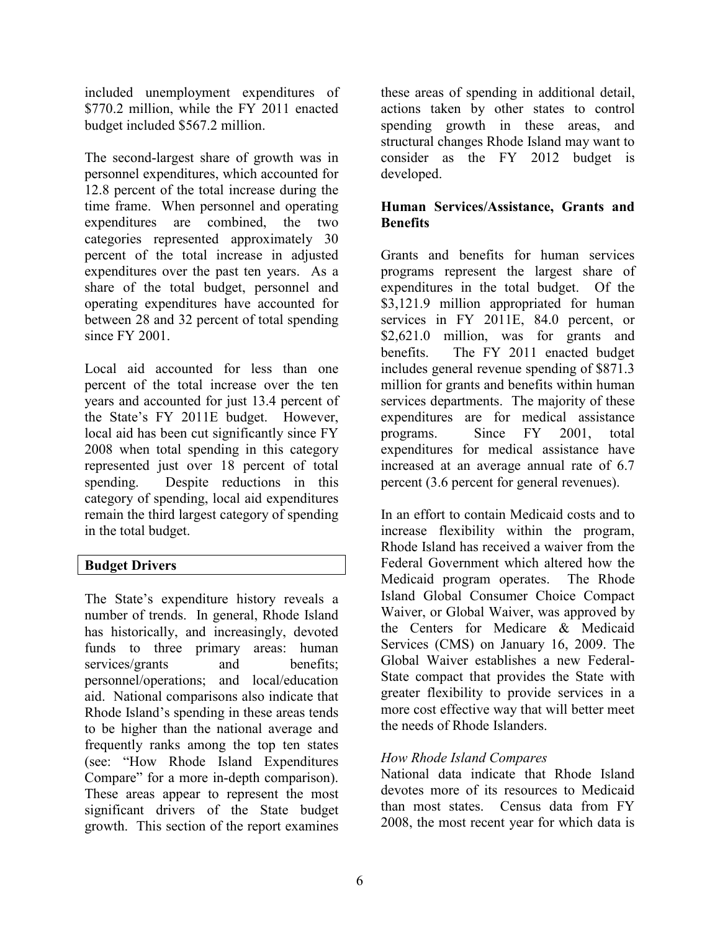included unemployment expenditures of \$770.2 million, while the FY 2011 enacted budget included \$567.2 million.

The second-largest share of growth was in personnel expenditures, which accounted for 12.8 percent of the total increase during the time frame. When personnel and operating expenditures are combined, the two categories represented approximately 30 percent of the total increase in adjusted expenditures over the past ten years. As a share of the total budget, personnel and operating expenditures have accounted for between 28 and 32 percent of total spending since FY 2001.

Local aid accounted for less than one percent of the total increase over the ten years and accounted for just 13.4 percent of the State's FY 2011E budget. However, local aid has been cut significantly since FY 2008 when total spending in this category represented just over 18 percent of total spending. Despite reductions in this category of spending, local aid expenditures remain the third largest category of spending in the total budget.

# Budget Drivers

The State's expenditure history reveals a number of trends. In general, Rhode Island has historically, and increasingly, devoted funds to three primary areas: human services/grants and benefits; personnel/operations; and local/education aid. National comparisons also indicate that Rhode Island's spending in these areas tends to be higher than the national average and frequently ranks among the top ten states (see: "How Rhode Island Expenditures Compare" for a more in-depth comparison). These areas appear to represent the most significant drivers of the State budget growth. This section of the report examines

these areas of spending in additional detail, actions taken by other states to control spending growth in these areas, and structural changes Rhode Island may want to consider as the FY 2012 budget is developed.

# Human Services/Assistance, Grants and **Benefits**

Grants and benefits for human services programs represent the largest share of expenditures in the total budget. Of the \$3,121.9 million appropriated for human services in FY 2011E, 84.0 percent, or \$2,621.0 million, was for grants and benefits. The FY 2011 enacted budget includes general revenue spending of \$871.3 million for grants and benefits within human services departments. The majority of these expenditures are for medical assistance programs. Since FY 2001, total expenditures for medical assistance have increased at an average annual rate of 6.7 percent (3.6 percent for general revenues).

In an effort to contain Medicaid costs and to increase flexibility within the program, Rhode Island has received a waiver from the Federal Government which altered how the Medicaid program operates. The Rhode Island Global Consumer Choice Compact Waiver, or Global Waiver, was approved by the Centers for Medicare & Medicaid Services (CMS) on January 16, 2009. The Global Waiver establishes a new Federal-State compact that provides the State with greater flexibility to provide services in a more cost effective way that will better meet the needs of Rhode Islanders.

# How Rhode Island Compares

National data indicate that Rhode Island devotes more of its resources to Medicaid than most states. Census data from FY 2008, the most recent year for which data is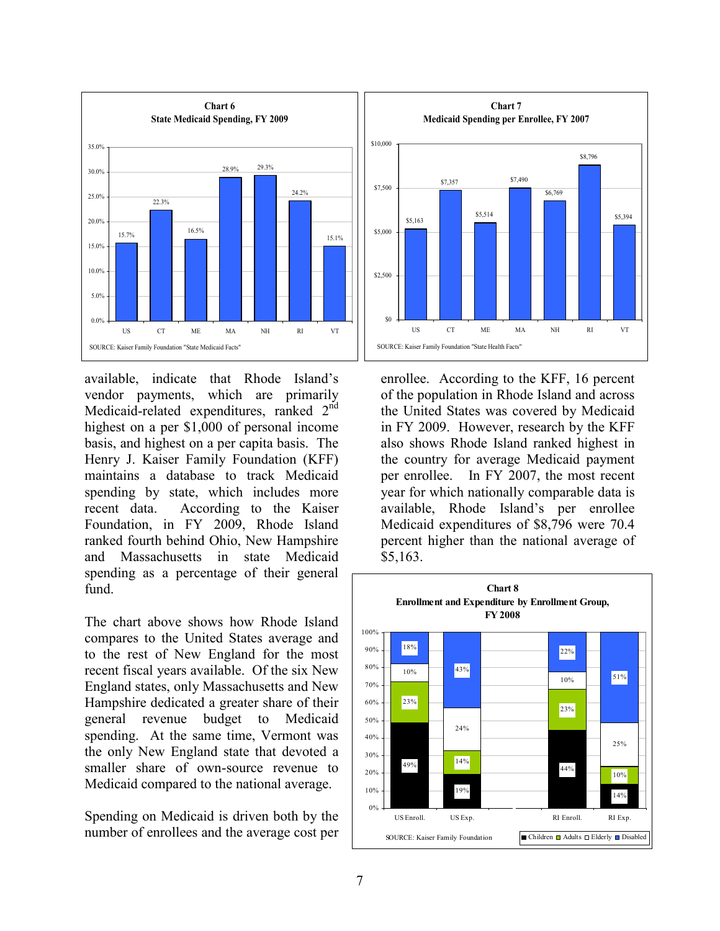

available, indicate that Rhode Island's vendor payments, which are primarily Medicaid-related expenditures, ranked 2<sup>nd</sup> highest on a per \$1,000 of personal income basis, and highest on a per capita basis. The Henry J. Kaiser Family Foundation (KFF) maintains a database to track Medicaid spending by state, which includes more recent data. According to the Kaiser Foundation, in FY 2009, Rhode Island ranked fourth behind Ohio, New Hampshire and Massachusetts in state Medicaid spending as a percentage of their general fund.

The chart above shows how Rhode Island compares to the United States average and to the rest of New England for the most recent fiscal years available. Of the six New England states, only Massachusetts and New Hampshire dedicated a greater share of their general revenue budget to Medicaid spending. At the same time, Vermont was the only New England state that devoted a smaller share of own-source revenue to Medicaid compared to the national average.

Spending on Medicaid is driven both by the number of enrollees and the average cost per



enrollee. According to the KFF, 16 percent of the population in Rhode Island and across the United States was covered by Medicaid in FY 2009. However, research by the KFF also shows Rhode Island ranked highest in the country for average Medicaid payment per enrollee. In FY 2007, the most recent year for which nationally comparable data is available, Rhode Island's per enrollee Medicaid expenditures of \$8,796 were 70.4 percent higher than the national average of \$5,163.

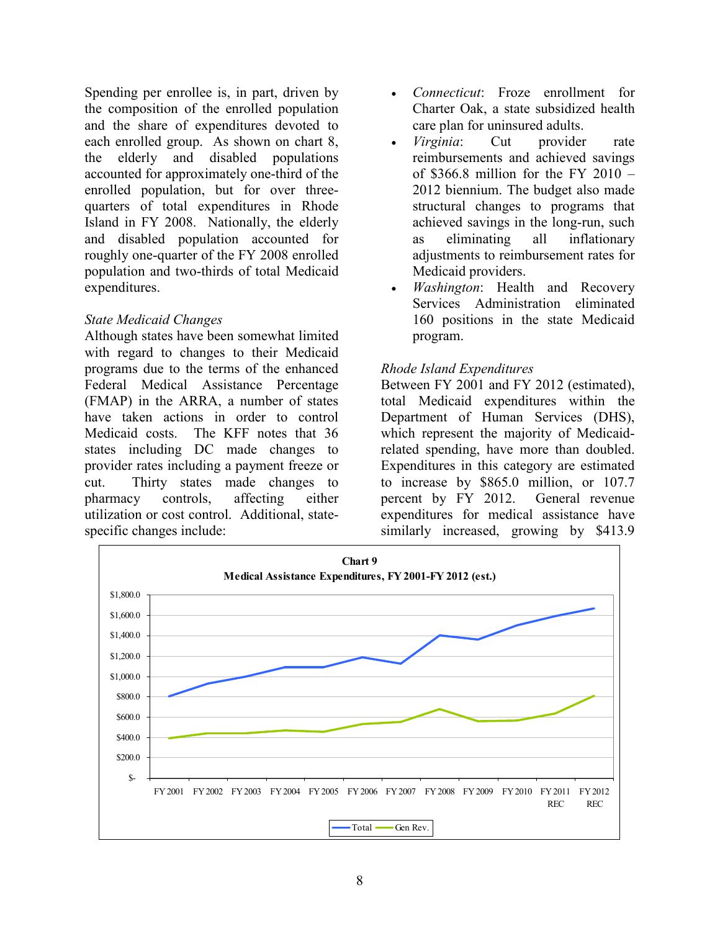Spending per enrollee is, in part, driven by the composition of the enrolled population and the share of expenditures devoted to each enrolled group. As shown on chart 8, the elderly and disabled populations accounted for approximately one-third of the enrolled population, but for over threequarters of total expenditures in Rhode Island in FY 2008. Nationally, the elderly and disabled population accounted for roughly one-quarter of the FY 2008 enrolled population and two-thirds of total Medicaid expenditures.

#### State Medicaid Changes

Although states have been somewhat limited with regard to changes to their Medicaid programs due to the terms of the enhanced Federal Medical Assistance Percentage (FMAP) in the ARRA, a number of states have taken actions in order to control Medicaid costs. The KFF notes that 36 states including DC made changes to provider rates including a payment freeze or cut. Thirty states made changes to pharmacy controls, affecting either utilization or cost control. Additional, statespecific changes include:

- *Connecticut*: Froze enrollment for Charter Oak, a state subsidized health care plan for uninsured adults.
- *Virginia*: Cut provider rate reimbursements and achieved savings of \$366.8 million for the FY 2010  $-$ 2012 biennium. The budget also made structural changes to programs that achieved savings in the long-run, such as eliminating all inflationary adjustments to reimbursement rates for Medicaid providers.
- Washington: Health and Recovery Services Administration eliminated 160 positions in the state Medicaid program.

### Rhode Island Expenditures

Between FY 2001 and FY 2012 (estimated), total Medicaid expenditures within the Department of Human Services (DHS), which represent the majority of Medicaidrelated spending, have more than doubled. Expenditures in this category are estimated to increase by \$865.0 million, or 107.7 percent by FY 2012. General revenue expenditures for medical assistance have similarly increased, growing by \$413.9

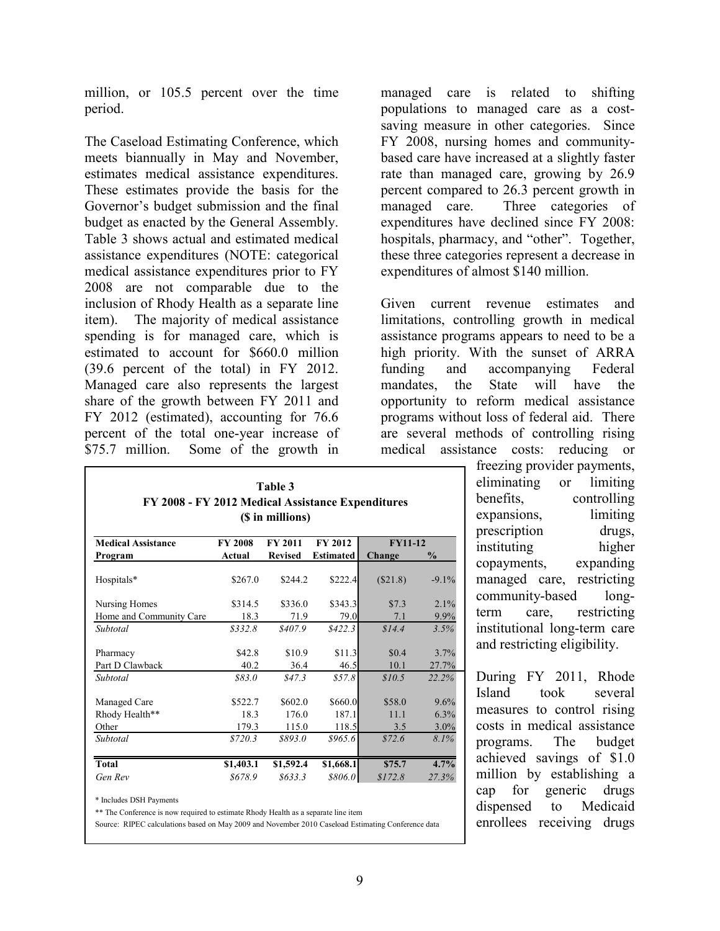million, or 105.5 percent over the time period.

The Caseload Estimating Conference, which meets biannually in May and November, estimates medical assistance expenditures. These estimates provide the basis for the Governor's budget submission and the final budget as enacted by the General Assembly. Table 3 shows actual and estimated medical assistance expenditures (NOTE: categorical medical assistance expenditures prior to FY 2008 are not comparable due to the inclusion of Rhody Health as a separate line item). The majority of medical assistance spending is for managed care, which is estimated to account for \$660.0 million (39.6 percent of the total) in FY 2012. Managed care also represents the largest share of the growth between FY 2011 and FY 2012 (estimated), accounting for 76.6 percent of the total one-year increase of \$75.7 million. Some of the growth in

| Table 3<br>FY 2008 - FY 2012 Medical Assistance Expenditures<br>(\$ in millions) |                                                               |                           |                           |                       |                      |  |  |
|----------------------------------------------------------------------------------|---------------------------------------------------------------|---------------------------|---------------------------|-----------------------|----------------------|--|--|
| <b>Medical Assistance</b>                                                        | FY 2012<br><b>FY11-12</b><br><b>FY 2008</b><br><b>FY 2011</b> |                           |                           |                       |                      |  |  |
| Program                                                                          | Actual                                                        | <b>Revised</b>            | <b>Estimated</b>          | Change                | $\%$                 |  |  |
| Hospitals*                                                                       | \$267.0                                                       | \$244.2                   | \$222.4                   | (\$21.8)              | $-9.1\%$             |  |  |
| Nursing Homes                                                                    | \$314.5                                                       | \$336.0                   | \$343.3                   | \$7.3                 | 2.1%                 |  |  |
| Home and Community Care                                                          | 18.3                                                          | 71.9                      | 79.0                      | 7.1                   | 9.9%                 |  |  |
| Subtotal                                                                         | \$332.8                                                       | \$407.9                   | \$422.3                   | \$14.4                | 3.5%                 |  |  |
| Pharmacy<br>Part D Clawback                                                      | \$42.8<br>40.2                                                | \$10.9<br>36.4            | \$11.3<br>46.5            | \$0.4<br>10.1         | 3.7%<br>27.7%        |  |  |
| Subtotal                                                                         | \$83.0                                                        | \$47.3\$                  | \$57.8\$                  | \$10.5                | 22.2%                |  |  |
| Managed Care<br>Rhody Health**<br>Other                                          | \$522.7<br>18.3<br>179.3                                      | \$602.0<br>176.0<br>115.0 | \$660.0<br>187.1<br>118.5 | \$58.0<br>11.1<br>3.5 | 9.6%<br>6.3%<br>3.0% |  |  |
| Subtotal                                                                         | \$720.3                                                       | \$893.0                   | \$965.6                   | \$72.6                | 8.1%                 |  |  |
|                                                                                  |                                                               |                           |                           |                       |                      |  |  |
| Total                                                                            | \$1,403.1                                                     | \$1,592.4                 | \$1,668.1                 | \$75.7                | 4.7%                 |  |  |
| Gen Rev                                                                          | \$678.9                                                       | 8633.3                    | \$806.0                   | \$172.8               | 27.3%                |  |  |

\* Includes DSH Payments

\*\* The Conference is now required to estimate Rhody Health as a separate line item

Source: RIPEC calculations based on May 2009 and November 2010 Caseload Estimating Conference data

managed care is related to shifting populations to managed care as a costsaving measure in other categories. Since FY 2008, nursing homes and communitybased care have increased at a slightly faster rate than managed care, growing by 26.9 percent compared to 26.3 percent growth in managed care. Three categories of expenditures have declined since FY 2008: hospitals, pharmacy, and "other". Together, these three categories represent a decrease in expenditures of almost \$140 million.

Given current revenue estimates and limitations, controlling growth in medical assistance programs appears to need to be a high priority. With the sunset of ARRA funding and accompanying Federal mandates, the State will have the opportunity to reform medical assistance programs without loss of federal aid. There are several methods of controlling rising medical assistance costs: reducing or

> freezing provider payments, eliminating or limiting benefits, controlling expansions, limiting prescription drugs, instituting higher copayments, expanding managed care, restricting community-based longterm care, restricting institutional long-term care and restricting eligibility.

> During FY 2011, Rhode Island took several measures to control rising costs in medical assistance programs. The budget achieved savings of \$1.0 million by establishing a cap for generic drugs dispensed to Medicaid enrollees receiving drugs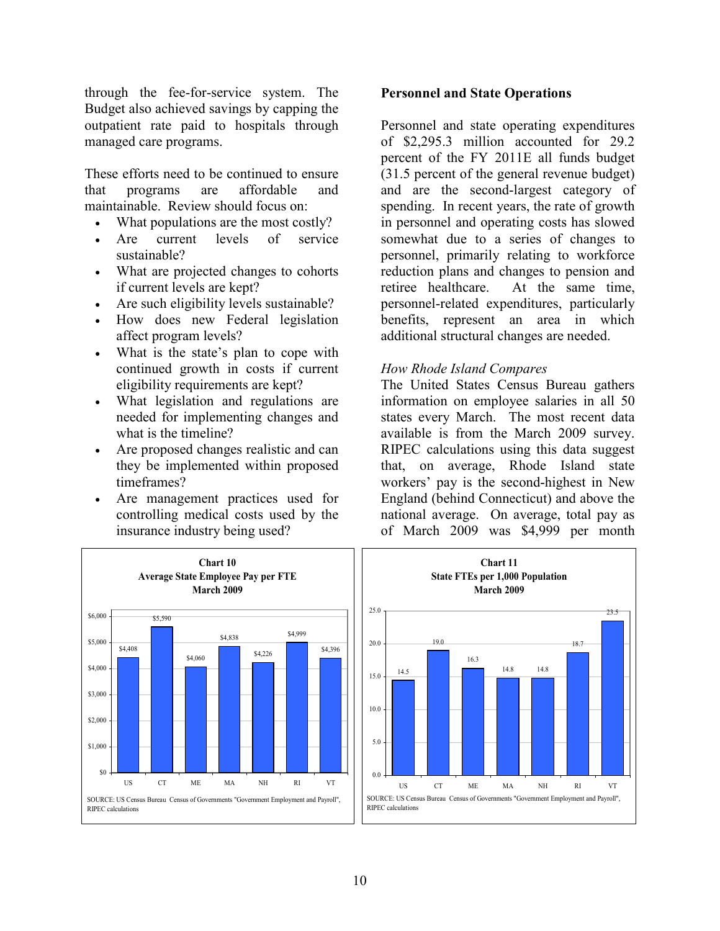through the fee-for-service system. The Budget also achieved savings by capping the outpatient rate paid to hospitals through managed care programs.

These efforts need to be continued to ensure that programs are affordable and maintainable. Review should focus on:

- What populations are the most costly?
- Are current levels of service sustainable?
- What are projected changes to cohorts if current levels are kept?
- Are such eligibility levels sustainable?
- How does new Federal legislation affect program levels?
- What is the state's plan to cope with continued growth in costs if current eligibility requirements are kept?
- What legislation and regulations are needed for implementing changes and what is the timeline?
- Are proposed changes realistic and can they be implemented within proposed timeframes?
- Are management practices used for controlling medical costs used by the insurance industry being used?



Personnel and state operating expenditures of \$2,295.3 million accounted for 29.2 percent of the FY 2011E all funds budget (31.5 percent of the general revenue budget) and are the second-largest category of spending. In recent years, the rate of growth in personnel and operating costs has slowed somewhat due to a series of changes to personnel, primarily relating to workforce reduction plans and changes to pension and retiree healthcare. At the same time, personnel-related expenditures, particularly benefits, represent an area in which additional structural changes are needed.

#### How Rhode Island Compares

The United States Census Bureau gathers information on employee salaries in all 50 states every March. The most recent data available is from the March 2009 survey. RIPEC calculations using this data suggest that, on average, Rhode Island state workers' pay is the second-highest in New England (behind Connecticut) and above the national average. On average, total pay as of March 2009 was \$4,999 per month



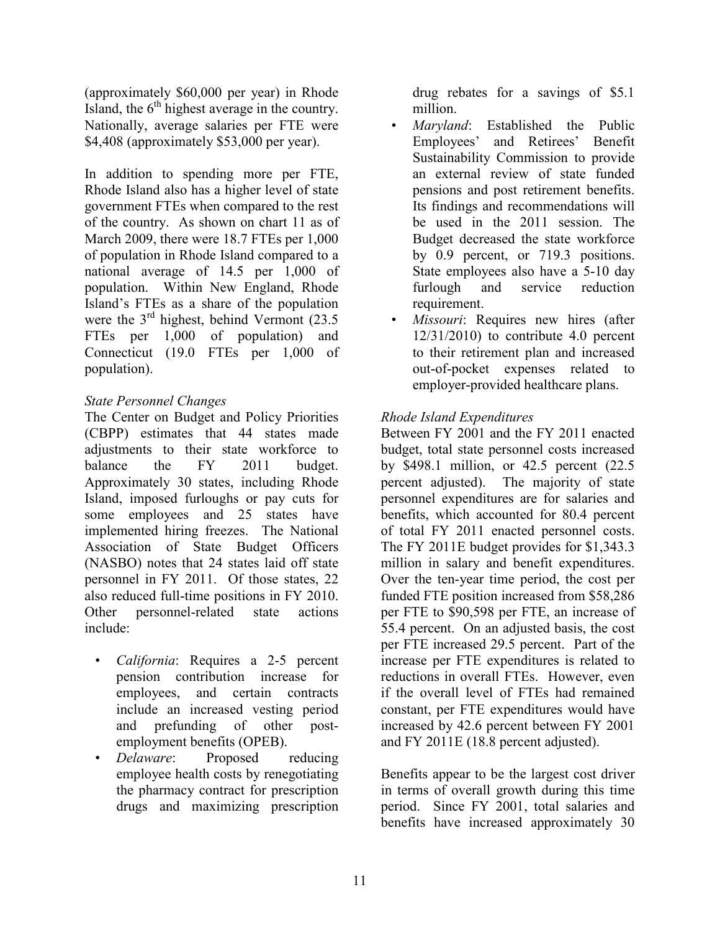(approximately \$60,000 per year) in Rhode Island, the  $6<sup>th</sup>$  highest average in the country. Nationally, average salaries per FTE were \$4,408 (approximately \$53,000 per year).

In addition to spending more per FTE, Rhode Island also has a higher level of state government FTEs when compared to the rest of the country. As shown on chart 11 as of March 2009, there were 18.7 FTEs per 1,000 of population in Rhode Island compared to a national average of 14.5 per 1,000 of population. Within New England, Rhode Island's FTEs as a share of the population were the  $3<sup>rd</sup>$  highest, behind Vermont (23.5) FTEs per 1,000 of population) and Connecticut (19.0 FTEs per 1,000 of population).

# State Personnel Changes

The Center on Budget and Policy Priorities (CBPP) estimates that 44 states made adjustments to their state workforce to balance the FY 2011 budget. Approximately 30 states, including Rhode Island, imposed furloughs or pay cuts for some employees and 25 states have implemented hiring freezes. The National Association of State Budget Officers (NASBO) notes that 24 states laid off state personnel in FY 2011. Of those states, 22 also reduced full-time positions in FY 2010. Other personnel-related state actions include:

- California: Requires a 2-5 percent pension contribution increase for employees, and certain contracts include an increased vesting period and prefunding of other postemployment benefits (OPEB).
- Delaware: Proposed reducing employee health costs by renegotiating the pharmacy contract for prescription drugs and maximizing prescription

drug rebates for a savings of \$5.1 million.

- Maryland: Established the Public Employees' and Retirees' Benefit Sustainability Commission to provide an external review of state funded pensions and post retirement benefits. Its findings and recommendations will be used in the 2011 session. The Budget decreased the state workforce by 0.9 percent, or 719.3 positions. State employees also have a 5-10 day furlough and service reduction requirement.
- Missouri: Requires new hires (after  $12/31/2010$ ) to contribute 4.0 percent to their retirement plan and increased out-of-pocket expenses related to employer-provided healthcare plans.

# Rhode Island Expenditures

Between FY 2001 and the FY 2011 enacted budget, total state personnel costs increased by \$498.1 million, or 42.5 percent (22.5 percent adjusted). The majority of state personnel expenditures are for salaries and benefits, which accounted for 80.4 percent of total FY 2011 enacted personnel costs. The FY 2011E budget provides for \$1,343.3 million in salary and benefit expenditures. Over the ten-year time period, the cost per funded FTE position increased from \$58,286 per FTE to \$90,598 per FTE, an increase of 55.4 percent. On an adjusted basis, the cost per FTE increased 29.5 percent. Part of the increase per FTE expenditures is related to reductions in overall FTEs. However, even if the overall level of FTEs had remained constant, per FTE expenditures would have increased by 42.6 percent between FY 2001 and FY 2011E (18.8 percent adjusted).

Benefits appear to be the largest cost driver in terms of overall growth during this time period. Since FY 2001, total salaries and benefits have increased approximately 30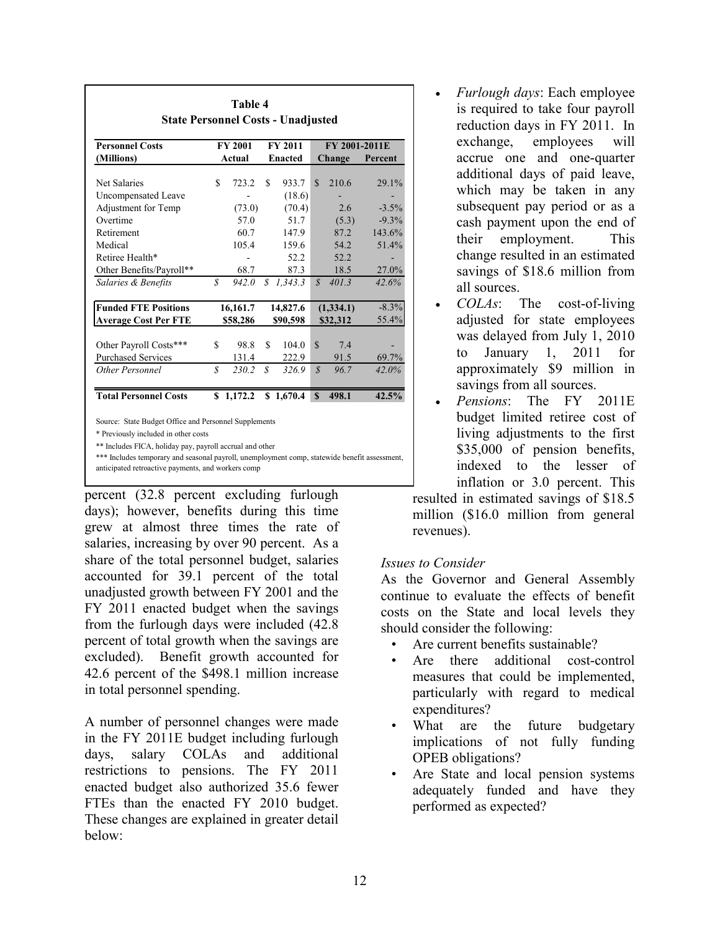| (Millions)<br>Net Salaries<br>\$<br>Uncompensated Leave<br>Adjustment for Temp<br>Overtime<br>Retirement<br>Medical | Actual<br>723.2<br>(73.0)<br>57.0 | \$            | <b>Enacted</b><br>933.7<br>(18.6) | $\mathcal{S}$     | Change<br>210.6 | Percent<br>29.1% |
|---------------------------------------------------------------------------------------------------------------------|-----------------------------------|---------------|-----------------------------------|-------------------|-----------------|------------------|
|                                                                                                                     |                                   |               |                                   |                   |                 |                  |
|                                                                                                                     |                                   |               |                                   |                   |                 |                  |
|                                                                                                                     |                                   |               |                                   |                   |                 |                  |
|                                                                                                                     |                                   |               | (70.4)                            |                   | 2.6             | $-3.5\%$         |
|                                                                                                                     |                                   |               | 51.7                              |                   | (5.3)           | $-9.3%$          |
|                                                                                                                     | 60.7                              |               | 147.9                             |                   | 87.2            | 143.6%           |
|                                                                                                                     | 105.4                             |               | 159.6                             |                   | 54.2            | 51.4%            |
| Retiree Health*                                                                                                     |                                   |               | 52.2                              |                   | 52.2            |                  |
| Other Benefits/Payroll**                                                                                            | 68.7                              |               | 87.3                              |                   | 18.5            | 27.0%            |
| $\mathcal{S}_{0}$<br>Salaries & Benefits                                                                            | 942.0                             | $\mathcal{S}$ | 1.343.3                           | $\mathcal{S}$     | 401.3           | 42.6%            |
| <b>Funded FTE Positions</b>                                                                                         | 16,161.7                          |               | 14,827.6                          |                   | (1,334.1)       | $-8.3%$          |
| <b>Average Cost Per FTE</b>                                                                                         | \$58,286                          |               | \$90,598                          |                   | \$32,312        | 55.4%            |
| Other Payroll Costs***<br>\$                                                                                        | 98.8                              | \$            | 104.0                             | $\mathbf S$       | 7.4             |                  |
| <b>Purchased Services</b>                                                                                           | 131.4                             |               | 222.9                             |                   | 91.5            | 69.7%            |
| S<br>Other Personnel                                                                                                | 230.2                             | S             | 326.9                             | $\mathcal{S}_{0}$ | 96.7            | 42.0%            |
| <b>Total Personnel Costs</b><br>\$                                                                                  | 1,172.2                           |               | \$1,670.4                         | $\mathbf S$       | 498.1           | 42.5%            |

percent (32.8 percent excluding furlough days); however, benefits during this time grew at almost three times the rate of salaries, increasing by over 90 percent. As a share of the total personnel budget, salaries accounted for 39.1 percent of the total unadjusted growth between FY 2001 and the FY 2011 enacted budget when the savings from the furlough days were included (42.8 percent of total growth when the savings are excluded). Benefit growth accounted for 42.6 percent of the \$498.1 million increase in total personnel spending.

A number of personnel changes were made in the FY 2011E budget including furlough days, salary COLAs and additional restrictions to pensions. The FY 2011 enacted budget also authorized 35.6 fewer FTEs than the enacted FY 2010 budget. These changes are explained in greater detail below:

- Furlough days: Each employee is required to take four payroll reduction days in FY 2011. In exchange, employees will accrue one and one-quarter additional days of paid leave, which may be taken in any subsequent pay period or as a cash payment upon the end of their employment. This change resulted in an estimated savings of \$18.6 million from all sources.
- COLAs: The cost-of-living adjusted for state employees was delayed from July 1, 2010 to January 1, 2011 for approximately \$9 million in savings from all sources.
- Pensions: The FY 2011E budget limited retiree cost of living adjustments to the first \$35,000 of pension benefits, indexed to the lesser of inflation or 3.0 percent. This

resulted in estimated savings of \$18.5 million (\$16.0 million from general revenues).

### Issues to Consider

As the Governor and General Assembly continue to evaluate the effects of benefit costs on the State and local levels they should consider the following:

- Are current benefits sustainable?
- Are there additional cost-control measures that could be implemented, particularly with regard to medical expenditures?
- What are the future budgetary implications of not fully funding OPEB obligations?
- Are State and local pension systems adequately funded and have they performed as expected?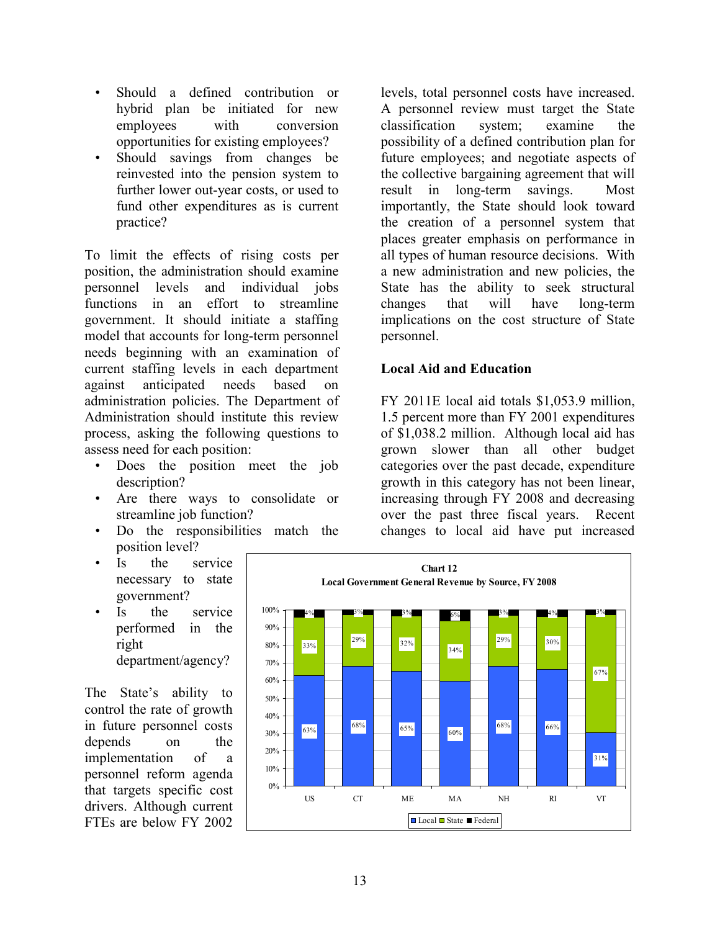- Should a defined contribution or hybrid plan be initiated for new employees with conversion opportunities for existing employees?
- Should savings from changes be reinvested into the pension system to further lower out-year costs, or used to fund other expenditures as is current practice?

To limit the effects of rising costs per position, the administration should examine personnel levels and individual jobs functions in an effort to streamline government. It should initiate a staffing model that accounts for long-term personnel needs beginning with an examination of current staffing levels in each department against anticipated needs based on administration policies. The Department of Administration should institute this review process, asking the following questions to assess need for each position:

- Does the position meet the job description?
- Are there ways to consolidate or streamline job function?
- Do the responsibilities match the position level?
- Is the service necessary to state government?
- Is the service performed in the right department/agency?

The State's ability to control the rate of growth in future personnel costs depends on the implementation of a personnel reform agenda that targets specific cost drivers. Although current FTEs are below FY 2002

levels, total personnel costs have increased. A personnel review must target the State classification system; examine the possibility of a defined contribution plan for future employees; and negotiate aspects of the collective bargaining agreement that will result in long-term savings. Most importantly, the State should look toward the creation of a personnel system that places greater emphasis on performance in all types of human resource decisions. With a new administration and new policies, the State has the ability to seek structural changes that will have long-term implications on the cost structure of State personnel.

# Local Aid and Education

FY 2011E local aid totals \$1,053.9 million, 1.5 percent more than FY 2001 expenditures of \$1,038.2 million. Although local aid has grown slower than all other budget categories over the past decade, expenditure growth in this category has not been linear, increasing through FY 2008 and decreasing over the past three fiscal years. Recent changes to local aid have put increased

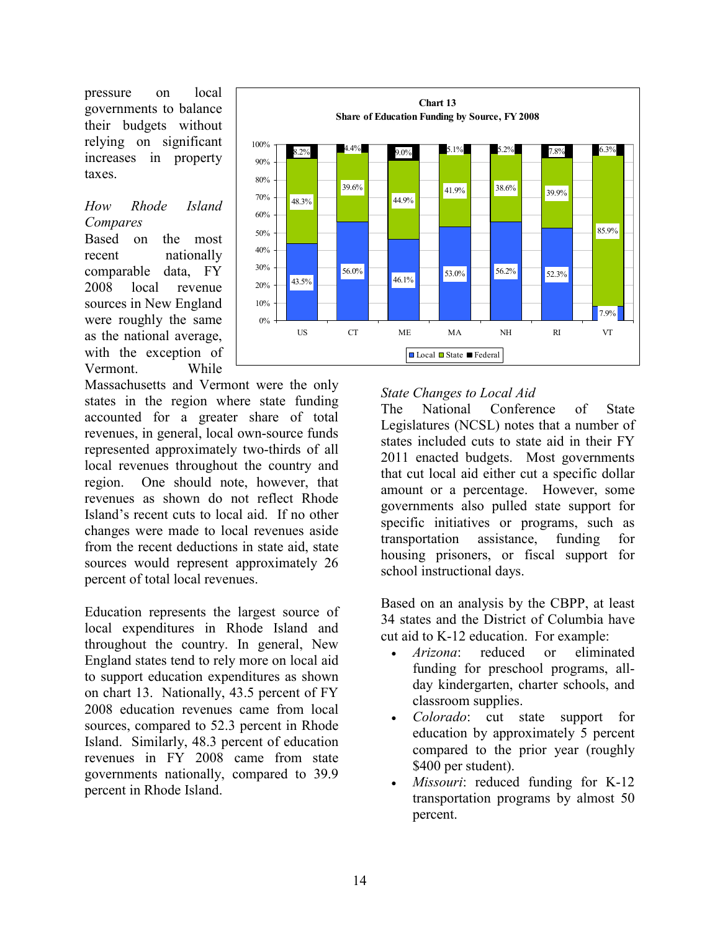pressure on local governments to balance their budgets without relying on significant increases in property taxes.

### How Rhode Island Compares

Based on the most recent nationally comparable data, FY 2008 local revenue sources in New England were roughly the same as the national average, with the exception of Vermont. While

Massachusetts and Vermont were the only states in the region where state funding accounted for a greater share of total revenues, in general, local own-source funds represented approximately two-thirds of all local revenues throughout the country and region. One should note, however, that revenues as shown do not reflect Rhode Island's recent cuts to local aid. If no other changes were made to local revenues aside from the recent deductions in state aid, state sources would represent approximately 26 percent of total local revenues.

Education represents the largest source of local expenditures in Rhode Island and throughout the country. In general, New England states tend to rely more on local aid to support education expenditures as shown on chart 13. Nationally, 43.5 percent of FY 2008 education revenues came from local sources, compared to 52.3 percent in Rhode Island. Similarly, 48.3 percent of education revenues in FY 2008 came from state governments nationally, compared to 39.9 percent in Rhode Island.



#### State Changes to Local Aid

The National Conference of State Legislatures (NCSL) notes that a number of states included cuts to state aid in their FY 2011 enacted budgets. Most governments that cut local aid either cut a specific dollar amount or a percentage. However, some governments also pulled state support for specific initiatives or programs, such as transportation assistance, funding for housing prisoners, or fiscal support for school instructional days.

Based on an analysis by the CBPP, at least 34 states and the District of Columbia have cut aid to K-12 education. For example:

- *Arizona*: reduced or eliminated funding for preschool programs, allday kindergarten, charter schools, and classroom supplies.
- Colorado: cut state support for education by approximately 5 percent compared to the prior year (roughly \$400 per student).
- Missouri: reduced funding for K-12 transportation programs by almost 50 percent.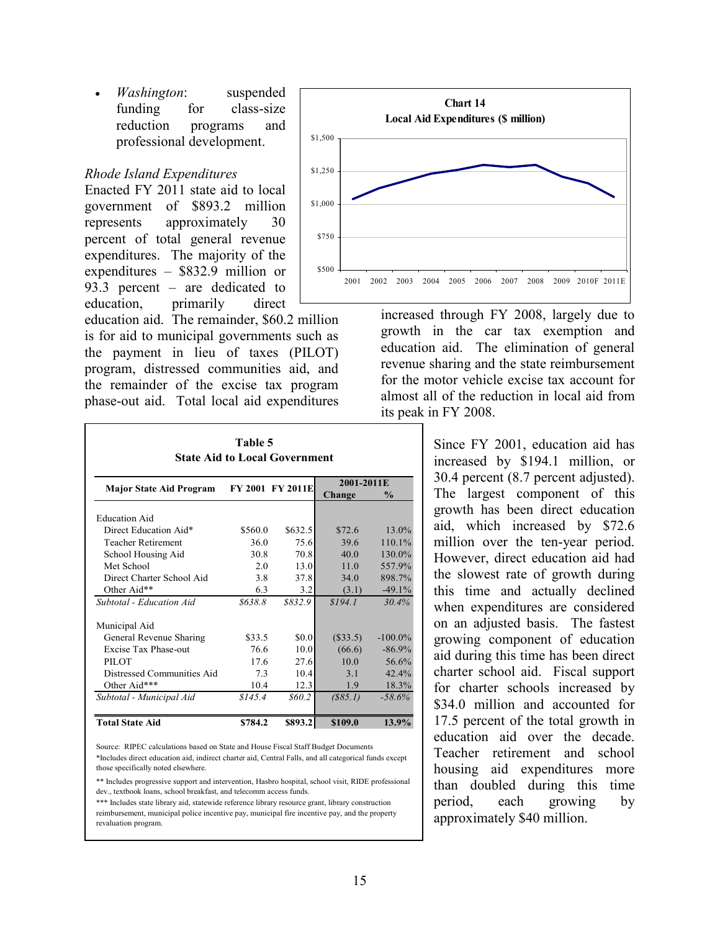• Washington: suspended funding for class-size reduction programs and professional development.

#### Rhode Island Expenditures

Enacted FY 2011 state aid to local government of \$893.2 million represents approximately 30 percent of total general revenue expenditures. The majority of the expenditures – \$832.9 million or 93.3 percent – are dedicated to education, primarily direct

education aid. The remainder, \$60.2 million is for aid to municipal governments such as the payment in lieu of taxes (PILOT) program, distressed communities aid, and the remainder of the excise tax program phase-out aid. Total local aid expenditures

| <b>State Aid to Local Government</b> |                  |         |            |            |  |  |  |
|--------------------------------------|------------------|---------|------------|------------|--|--|--|
| <b>Major State Aid Program</b>       | FY 2001 FY 2011E |         | 2001-2011E |            |  |  |  |
|                                      |                  |         | Change     | %          |  |  |  |
| <b>Education Aid</b>                 |                  |         |            |            |  |  |  |
| Direct Education Aid*                | \$560.0          | \$632.5 | \$72.6     | 13.0%      |  |  |  |
| <b>Teacher Retirement</b>            | 36.0             | 75.6    | 39.6       | 110.1%     |  |  |  |
| School Housing Aid                   | 30.8             | 70.8    | 40.0       | 130.0%     |  |  |  |
| Met School                           | 2.0              | 13.0    | 11.0       | 557.9%     |  |  |  |
| Direct Charter School Aid            | 3.8              | 37.8    | 34.0       | 898.7%     |  |  |  |
| Other Aid**                          | 6.3              | 3.2     | (3.1)      | $-49.1%$   |  |  |  |
| Subtotal - Education Aid             | \$638.8          | \$832.9 | \$194.1    | 30.4%      |  |  |  |
| Municipal Aid                        |                  |         |            |            |  |  |  |
| General Revenue Sharing              | \$33.5           | \$0.0   | $(\$33.5)$ | $-100.0\%$ |  |  |  |
| Excise Tax Phase-out                 | 76.6             | 10.0    | (66.6)     | $-86.9%$   |  |  |  |
| PILOT                                | 17.6             | 27.6    | 10.0       | 56.6%      |  |  |  |
| Distressed Communities Aid           | 7.3              | 10.4    | 3.1        | 42.4%      |  |  |  |
| Other Aid***                         | 10.4             | 12.3    | 1.9        | 18.3%      |  |  |  |
| Subtotal - Municipal Aid             | \$145.4          | \$60.2  | (S85.1)    | $-58.6%$   |  |  |  |
| <b>Total State Aid</b>               | \$784.2          | \$893.2 | \$109.0    | 13.9%      |  |  |  |

Table 5

Source: RIPEC calculations based on State and House Fiscal Staff Budget Documents

\*Includes direct education aid, indirect charter aid, Central Falls, and all categorical funds except those specifically noted elsewhere.

\*\* Includes progressive support and intervention, Hasbro hospital, school visit, RIDE professional dev., textbook loans, school breakfast, and telecomm access funds.

\*\*\* Includes state library aid, statewide reference library resource grant, library construction reimbursement, municipal police incentive pay, municipal fire incentive pay, and the property revaluation program.



increased through FY 2008, largely due to growth in the car tax exemption and education aid. The elimination of general revenue sharing and the state reimbursement for the motor vehicle excise tax account for almost all of the reduction in local aid from its peak in FY 2008.

> Since FY 2001, education aid has increased by \$194.1 million, or 30.4 percent (8.7 percent adjusted). The largest component of this growth has been direct education aid, which increased by \$72.6 million over the ten-year period. However, direct education aid had the slowest rate of growth during this time and actually declined when expenditures are considered on an adjusted basis. The fastest growing component of education aid during this time has been direct charter school aid. Fiscal support for charter schools increased by \$34.0 million and accounted for 17.5 percent of the total growth in education aid over the decade. Teacher retirement and school housing aid expenditures more than doubled during this time period, each growing by approximately \$40 million.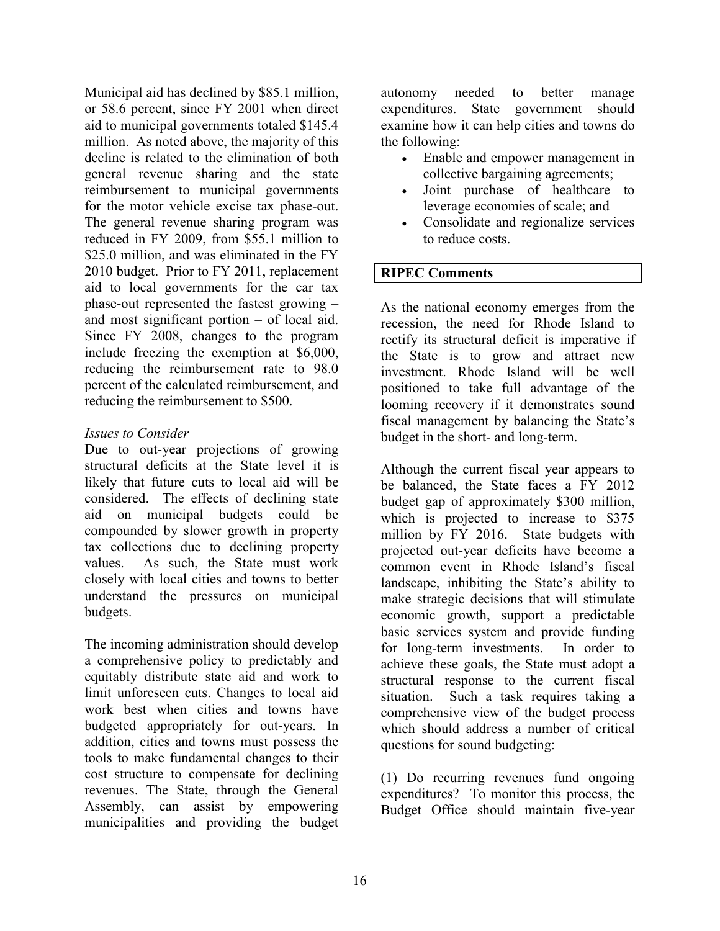Municipal aid has declined by \$85.1 million, or 58.6 percent, since FY 2001 when direct aid to municipal governments totaled \$145.4 million. As noted above, the majority of this decline is related to the elimination of both general revenue sharing and the state reimbursement to municipal governments for the motor vehicle excise tax phase-out. The general revenue sharing program was reduced in FY 2009, from \$55.1 million to \$25.0 million, and was eliminated in the FY 2010 budget. Prior to FY 2011, replacement aid to local governments for the car tax phase-out represented the fastest growing – and most significant portion – of local aid. Since FY 2008, changes to the program include freezing the exemption at \$6,000, reducing the reimbursement rate to 98.0 percent of the calculated reimbursement, and reducing the reimbursement to \$500.

### Issues to Consider

Due to out-year projections of growing structural deficits at the State level it is likely that future cuts to local aid will be considered. The effects of declining state aid on municipal budgets could be compounded by slower growth in property tax collections due to declining property values. As such, the State must work closely with local cities and towns to better understand the pressures on municipal budgets.

The incoming administration should develop a comprehensive policy to predictably and equitably distribute state aid and work to limit unforeseen cuts. Changes to local aid work best when cities and towns have budgeted appropriately for out-years. In addition, cities and towns must possess the tools to make fundamental changes to their cost structure to compensate for declining revenues. The State, through the General Assembly, can assist by empowering municipalities and providing the budget autonomy needed to better manage expenditures. State government should examine how it can help cities and towns do the following:

- Enable and empower management in collective bargaining agreements;
- Joint purchase of healthcare to leverage economies of scale; and
- Consolidate and regionalize services to reduce costs.

# RIPEC Comments

As the national economy emerges from the recession, the need for Rhode Island to rectify its structural deficit is imperative if the State is to grow and attract new investment. Rhode Island will be well positioned to take full advantage of the looming recovery if it demonstrates sound fiscal management by balancing the State's budget in the short- and long-term.

Although the current fiscal year appears to be balanced, the State faces a FY 2012 budget gap of approximately \$300 million, which is projected to increase to \$375 million by FY 2016. State budgets with projected out-year deficits have become a common event in Rhode Island's fiscal landscape, inhibiting the State's ability to make strategic decisions that will stimulate economic growth, support a predictable basic services system and provide funding for long-term investments. In order to achieve these goals, the State must adopt a structural response to the current fiscal situation. Such a task requires taking a comprehensive view of the budget process which should address a number of critical questions for sound budgeting:

(1) Do recurring revenues fund ongoing expenditures? To monitor this process, the Budget Office should maintain five-year